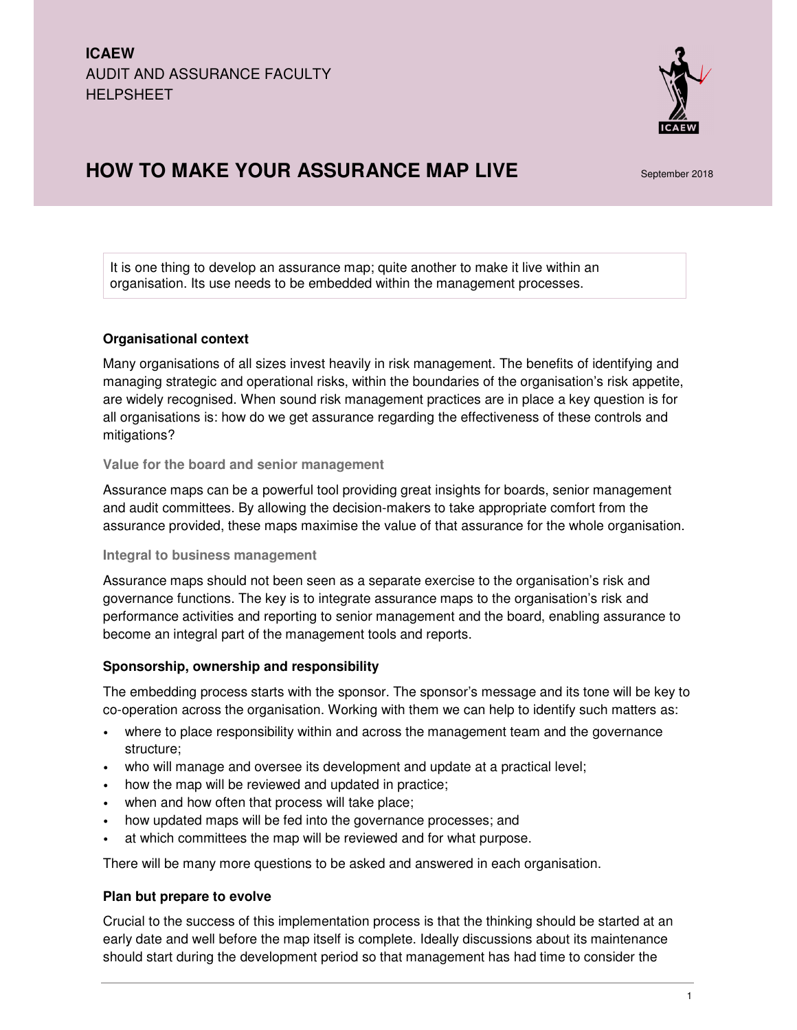

# **HOW TO MAKE YOUR ASSURANCE MAP LIVE** September 2018

It is one thing to develop an assurance map; quite another to make it live within an organisation. Its use needs to be embedded within the management processes.

# **Organisational context**

Many organisations of all sizes invest heavily in risk management. The benefits of identifying and managing strategic and operational risks, within the boundaries of the organisation's risk appetite, are widely recognised. When sound risk management practices are in place a key question is for all organisations is: how do we get assurance regarding the effectiveness of these controls and mitigations?

# **Value for the board and senior management**

Assurance maps can be a powerful tool providing great insights for boards, senior management and audit committees. By allowing the decision-makers to take appropriate comfort from the assurance provided, these maps maximise the value of that assurance for the whole organisation.

# **Integral to business management**

Assurance maps should not been seen as a separate exercise to the organisation's risk and governance functions. The key is to integrate assurance maps to the organisation's risk and performance activities and reporting to senior management and the board, enabling assurance to become an integral part of the management tools and reports.

# **Sponsorship, ownership and responsibility**

The embedding process starts with the sponsor. The sponsor's message and its tone will be key to co-operation across the organisation. Working with them we can help to identify such matters as:

- where to place responsibility within and across the management team and the governance structure;
- who will manage and oversee its development and update at a practical level;
- how the map will be reviewed and updated in practice;
- when and how often that process will take place;
- how updated maps will be fed into the governance processes; and
- at which committees the map will be reviewed and for what purpose.

There will be many more questions to be asked and answered in each organisation.

# **Plan but prepare to evolve**

Crucial to the success of this implementation process is that the thinking should be started at an early date and well before the map itself is complete. Ideally discussions about its maintenance should start during the development period so that management has had time to consider the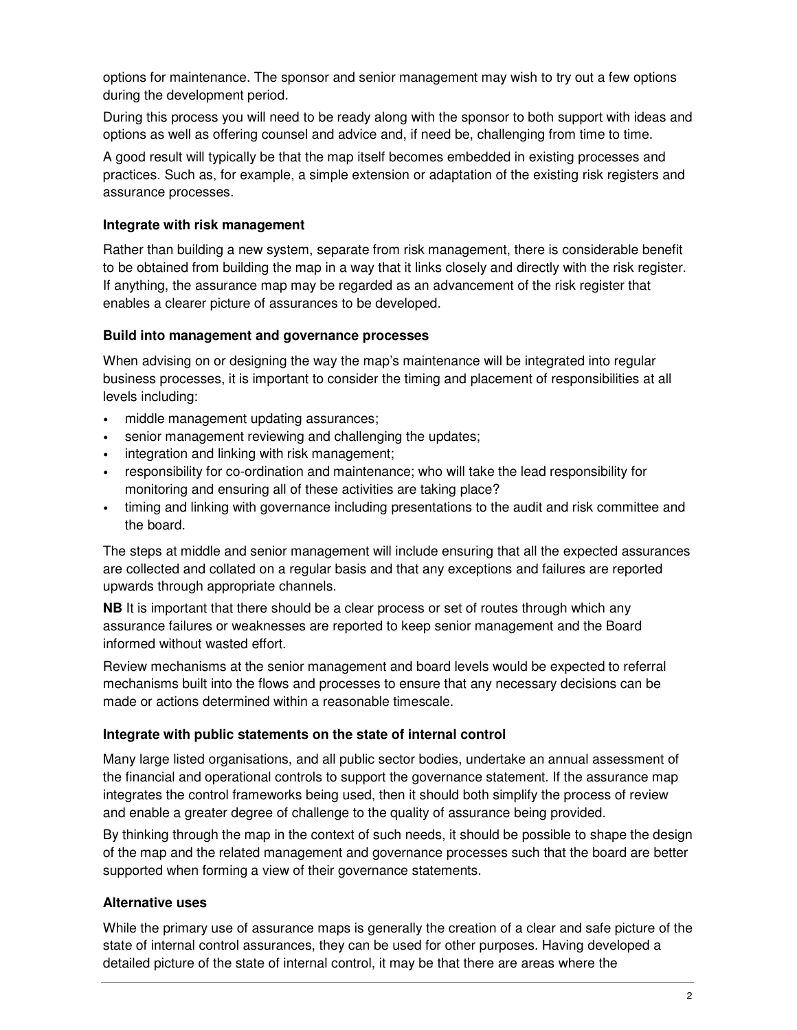options for maintenance. The sponsor and senior management may wish to try out a few options during the development period.

During this process you will need to be ready along with the sponsor to both support with ideas and options as well as offering counsel and advice and, if need be, challenging from time to time.

A good result will typically be that the map itself becomes embedded in existing processes and practices. Such as, for example, a simple extension or adaptation of the existing risk registers and assurance processes.

# **Integrate with risk management**

Rather than building a new system, separate from risk management, there is considerable benefit to be obtained from building the map in a way that it links closely and directly with the risk register. If anything, the assurance map may be regarded as an advancement of the risk register that enables a clearer picture of assurances to be developed.

# **Build into management and governance processes**

When advising on or designing the way the map's maintenance will be integrated into regular business processes, it is important to consider the timing and placement of responsibilities at all levels including:

- middle management updating assurances;
- senior management reviewing and challenging the updates;
- integration and linking with risk management;
- responsibility for co-ordination and maintenance; who will take the lead responsibility for monitoring and ensuring all of these activities are taking place?
- timing and linking with governance including presentations to the audit and risk committee and the board.

The steps at middle and senior management will include ensuring that all the expected assurances are collected and collated on a regular basis and that any exceptions and failures are reported upwards through appropriate channels.

**NB** It is important that there should be a clear process or set of routes through which any assurance failures or weaknesses are reported to keep senior management and the Board informed without wasted effort.

Review mechanisms at the senior management and board levels would be expected to referral mechanisms built into the flows and processes to ensure that any necessary decisions can be made or actions determined within a reasonable timescale.

# **Integrate with public statements on the state of internal control**

Many large listed organisations, and all public sector bodies, undertake an annual assessment of the financial and operational controls to support the governance statement. If the assurance map integrates the control frameworks being used, then it should both simplify the process of review and enable a greater degree of challenge to the quality of assurance being provided.

By thinking through the map in the context of such needs, it should be possible to shape the design of the map and the related management and governance processes such that the board are better supported when forming a view of their governance statements.

# **Alternative uses**

While the primary use of assurance maps is generally the creation of a clear and safe picture of the state of internal control assurances, they can be used for other purposes. Having developed a detailed picture of the state of internal control, it may be that there are areas where the